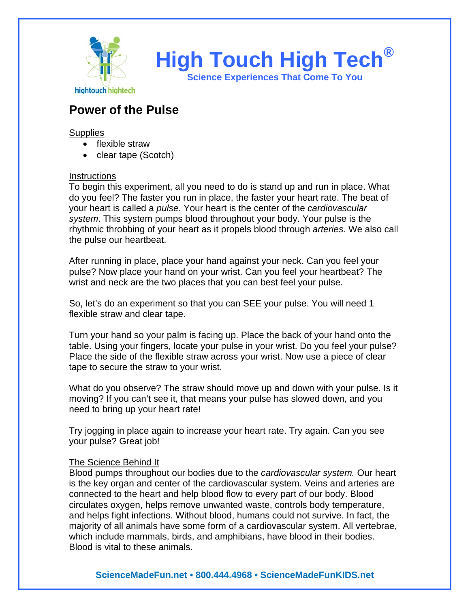

## **Power of the Pulse**

**Supplies** 

- flexible straw
- clear tape (Scotch)

## **Instructions**

To begin this experiment, all you need to do is stand up and run in place. What do you feel? The faster you run in place, the faster your heart rate. The beat of your heart is called a *pulse*. Your heart is the center of the *cardiovascular system*. This system pumps blood throughout your body. Your pulse is the rhythmic throbbing of your heart as it propels blood through *arteries*. We also call the pulse our heartbeat.

After running in place, place your hand against your neck. Can you feel your pulse? Now place your hand on your wrist. Can you feel your heartbeat? The wrist and neck are the two places that you can best feel your pulse.

So, let's do an experiment so that you can SEE your pulse. You will need 1 flexible straw and clear tape.

Turn your hand so your palm is facing up. Place the back of your hand onto the table. Using your fingers, locate your pulse in your wrist. Do you feel your pulse? Place the side of the flexible straw across your wrist. Now use a piece of clear tape to secure the straw to your wrist.

What do you observe? The straw should move up and down with your pulse. Is it moving? If you can't see it, that means your pulse has slowed down, and you need to bring up your heart rate!

Try jogging in place again to increase your heart rate. Try again. Can you see your pulse? Great job!

## The Science Behind It

Blood pumps throughout our bodies due to the *cardiovascular system.* Our heart is the key organ and center of the cardiovascular system. Veins and arteries are connected to the heart and help blood flow to every part of our body. Blood circulates oxygen, helps remove unwanted waste, controls body temperature, and helps fight infections. Without blood, humans could not survive. In fact, the majority of all animals have some form of a cardiovascular system. All vertebrae, which include mammals, birds, and amphibians, have blood in their bodies. Blood is vital to these animals.